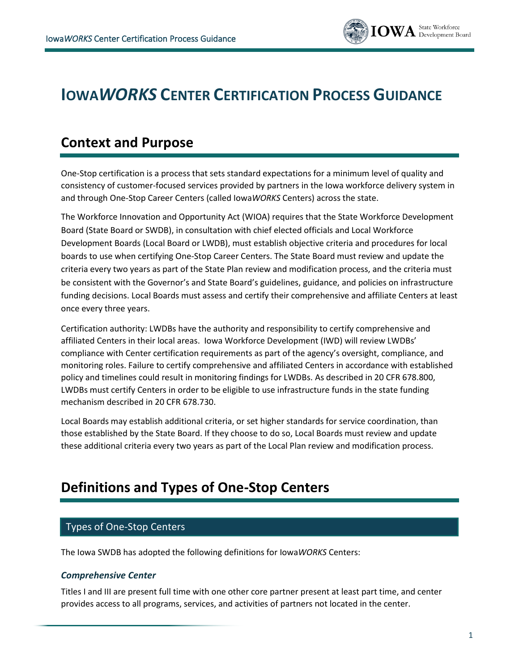

# **IOWA***WORKS* **CENTER CERTIFICATION PROCESS GUIDANCE**

## **Context and Purpose**

One-Stop certification is a process that sets standard expectations for a minimum level of quality and consistency of customer-focused services provided by partners in the Iowa workforce delivery system in and through One-Stop Career Centers (called Iowa*WORKS* Centers) across the state.

The Workforce Innovation and Opportunity Act (WIOA) requires that the State Workforce Development Board (State Board or SWDB), in consultation with chief elected officials and Local Workforce Development Boards (Local Board or LWDB), must establish objective criteria and procedures for local boards to use when certifying One-Stop Career Centers. The State Board must review and update the criteria every two years as part of the State Plan review and modification process, and the criteria must be consistent with the Governor's and State Board's guidelines, guidance, and policies on infrastructure funding decisions. Local Boards must assess and certify their comprehensive and affiliate Centers at least once every three years.

Certification authority: LWDBs have the authority and responsibility to certify comprehensive and affiliated Centers in their local areas. Iowa Workforce Development (IWD) will review LWDBs' compliance with Center certification requirements as part of the agency's oversight, compliance, and monitoring roles. Failure to certify comprehensive and affiliated Centers in accordance with established policy and timelines could result in monitoring findings for LWDBs. As described in 20 CFR 678.800, LWDBs must certify Centers in order to be eligible to use infrastructure funds in the state funding mechanism described in 20 CFR 678.730.

Local Boards may establish additional criteria, or set higher standards for service coordination, than those established by the State Board. If they choose to do so, Local Boards must review and update these additional criteria every two years as part of the Local Plan review and modification process.

## **Definitions and Types of One-Stop Centers**

#### Types of One-Stop Centers

The Iowa SWDB has adopted the following definitions for Iowa*WORKS* Centers:

#### *Comprehensive Center*

Titles I and III are present full time with one other core partner present at least part time, and center provides access to all programs, services, and activities of partners not located in the center.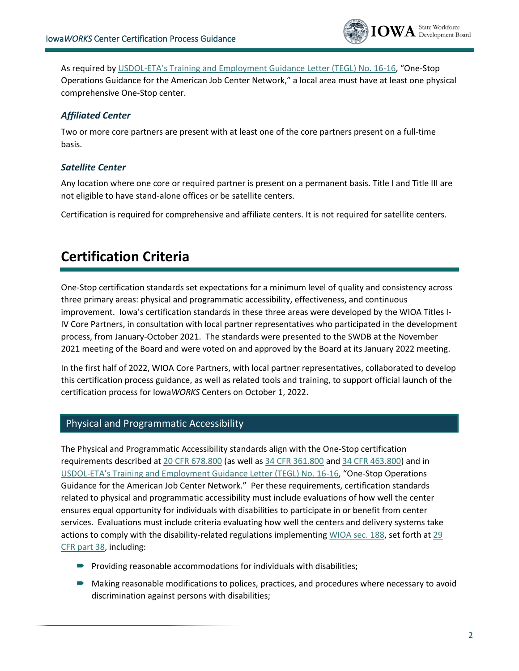

As required by USDOL-[ETA's Training and Employment Guidance Letter \(TEGL\) No. 16](https://wdr.doleta.gov/directives/corr_doc.cfm?DOCN=8772)-16, "One-Stop Operations Guidance for the American Job Center Network," a local area must have at least one physical comprehensive One-Stop center.

#### *Affiliated Center*

Two or more core partners are present with at least one of the core partners present on a full-time basis.

#### *Satellite Center*

Any location where one core or required partner is present on a permanent basis. Title I and Title III are not eligible to have stand-alone offices or be satellite centers.

Certification is required for comprehensive and affiliate centers. It is not required for satellite centers.

## **Certification Criteria**

One-Stop certification standards set expectations for a minimum level of quality and consistency across three primary areas: physical and programmatic accessibility, effectiveness, and continuous improvement. Iowa's certification standards in these three areas were developed by the WIOA Titles I-IV Core Partners, in consultation with local partner representatives who participated in the development process, from January-October 2021. The standards were presented to the SWDB at the November 2021 meeting of the Board and were voted on and approved by the Board at its January 2022 meeting.

In the first half of 2022, WIOA Core Partners, with local partner representatives, collaborated to develop this certification process guidance, as well as related tools and training, to support official launch of the certification process for Iowa*WORKS* Centers on October 1, 2022.

#### Physical and Programmatic Accessibility

The Physical and Programmatic Accessibility standards align with the One-Stop certification requirements described a[t 20 CFR 678.800](https://www.ecfr.gov/current/title-20/chapter-V/part-678/subpart-F/section-678.800) (as well as [34 CFR 361.800](https://www.ecfr.gov/current/title-34/subtitle-B/chapter-III/part-361/subpart-F/section-361.800) and [34 CFR 463.800\)](https://www.ecfr.gov/current/title-34/subtitle-B/chapter-IV/part-463/subpart-J/section-463.800) and in USDOL-[ETA's Training and Employment Guidance Letter \(TEGL\) No. 16](https://wdr.doleta.gov/directives/corr_doc.cfm?DOCN=8772)-16, "One-Stop Operations Guidance for the American Job Center Network." Per these requirements, certification standards related to physical and programmatic accessibility must include evaluations of how well the center ensures equal opportunity for individuals with disabilities to participate in or benefit from center services. Evaluations must include criteria evaluating how well the centers and delivery systems take actions to comply with the disability-related regulations implementin[g WIOA sec. 188,](https://www.dol.gov/agencies/oasam/centers-offices/civil-rights-center/statutes/section-188-workforce-innovation-opportunity-act) set forth at 29 [CFR part 38,](https://www.ecfr.gov/current/title-29/subtitle-A/part-38) including:

- $\blacksquare$  Providing reasonable accommodations for individuals with disabilities;
- Making reasonable modifications to polices, practices, and procedures where necessary to avoid discrimination against persons with disabilities;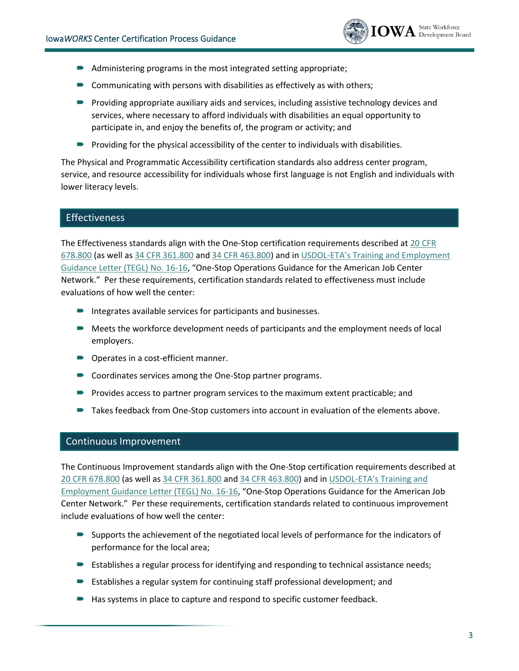

- Administering programs in the most integrated setting appropriate;
- $\blacksquare$  Communicating with persons with disabilities as effectively as with others;
- **Providing appropriate auxiliary aids and services, including assistive technology devices and** services, where necessary to afford individuals with disabilities an equal opportunity to participate in, and enjoy the benefits of, the program or activity; and
- $\blacktriangleright$  Providing for the physical accessibility of the center to individuals with disabilities.

The Physical and Programmatic Accessibility certification standards also address center program, service, and resource accessibility for individuals whose first language is not English and individuals with lower literacy levels.

#### Effectiveness

The Effectiveness standards align with the One-Stop certification requirements described at [20 CFR](https://www.ecfr.gov/current/title-20/chapter-V/part-678/subpart-F/section-678.800)  [678.800](https://www.ecfr.gov/current/title-20/chapter-V/part-678/subpart-F/section-678.800) (as well as [34 CFR 361.800](https://www.ecfr.gov/current/title-34/subtitle-B/chapter-III/part-361/subpart-F/section-361.800) and [34 CFR 463.800\)](https://www.ecfr.gov/current/title-34/subtitle-B/chapter-IV/part-463/subpart-J/section-463.800) and in USDOL-[ETA's Training and Employment](https://wdr.doleta.gov/directives/corr_doc.cfm?DOCN=8772)  [Guidance Letter \(TEGL\) No. 16-16](https://wdr.doleta.gov/directives/corr_doc.cfm?DOCN=8772), "One-Stop Operations Guidance for the American Job Center Network." Per these requirements, certification standards related to effectiveness must include evaluations of how well the center:

- **Integrates available services for participants and businesses.**
- Meets the workforce development needs of participants and the employment needs of local employers.
- Operates in a cost-efficient manner.
- Coordinates services among the One-Stop partner programs.
- **Provides access to partner program services to the maximum extent practicable; and**
- Takes feedback from One-Stop customers into account in evaluation of the elements above.

#### Continuous Improvement

The Continuous Improvement standards align with the One-Stop certification requirements described at [20 CFR 678.800](https://www.ecfr.gov/current/title-20/chapter-V/part-678/subpart-F/section-678.800) (as well as [34 CFR 361.800](https://www.ecfr.gov/current/title-34/subtitle-B/chapter-III/part-361/subpart-F/section-361.800) and [34 CFR 463.800\)](https://www.ecfr.gov/current/title-34/subtitle-B/chapter-IV/part-463/subpart-J/section-463.800) and in USDOL-[ETA's Training and](https://wdr.doleta.gov/directives/corr_doc.cfm?DOCN=8772)  [Employment Guidance Letter \(TEGL\) No. 16-16](https://wdr.doleta.gov/directives/corr_doc.cfm?DOCN=8772), "One-Stop Operations Guidance for the American Job Center Network." Per these requirements, certification standards related to continuous improvement include evaluations of how well the center:

- Supports the achievement of the negotiated local levels of performance for the indicators of performance for the local area;
- Establishes a regular process for identifying and responding to technical assistance needs;
- Establishes a regular system for continuing staff professional development; and
- Has systems in place to capture and respond to specific customer feedback.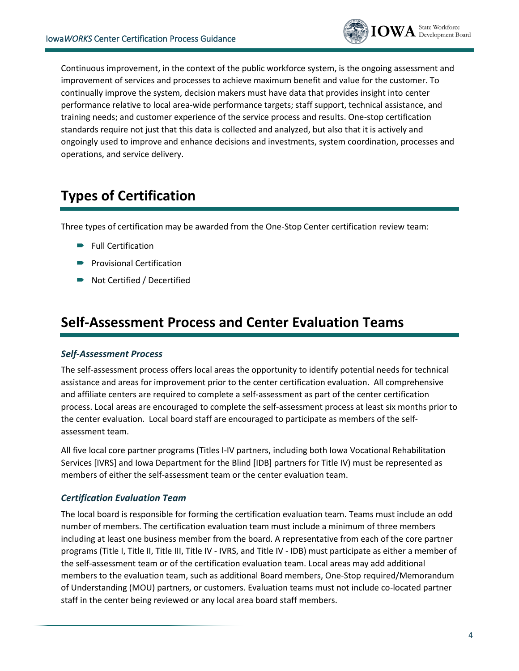

Continuous improvement, in the context of the public workforce system, is the ongoing assessment and improvement of services and processes to achieve maximum benefit and value for the customer. To continually improve the system, decision makers must have data that provides insight into center performance relative to local area-wide performance targets; staff support, technical assistance, and training needs; and customer experience of the service process and results. One-stop certification standards require not just that this data is collected and analyzed, but also that it is actively and ongoingly used to improve and enhance decisions and investments, system coordination, processes and operations, and service delivery.

## **Types of Certification**

Three types of certification may be awarded from the One-Stop Center certification review team:

- **Full Certification**
- **Provisional Certification**
- Not Certified / Decertified

### **Self-Assessment Process and Center Evaluation Teams**

#### *Self-Assessment Process*

The self-assessment process offers local areas the opportunity to identify potential needs for technical assistance and areas for improvement prior to the center certification evaluation. All comprehensive and affiliate centers are required to complete a self-assessment as part of the center certification process. Local areas are encouraged to complete the self-assessment process at least six months prior to the center evaluation. Local board staff are encouraged to participate as members of the selfassessment team.

All five local core partner programs (Titles I-IV partners, including both Iowa Vocational Rehabilitation Services [IVRS] and Iowa Department for the Blind [IDB] partners for Title IV) must be represented as members of either the self-assessment team or the center evaluation team.

#### *Certification Evaluation Team*

The local board is responsible for forming the certification evaluation team. Teams must include an odd number of members. The certification evaluation team must include a minimum of three members including at least one business member from the board. A representative from each of the core partner programs (Title I, Title II, Title III, Title IV - IVRS, and Title IV - IDB) must participate as either a member of the self-assessment team or of the certification evaluation team. Local areas may add additional members to the evaluation team, such as additional Board members, One-Stop required/Memorandum of Understanding (MOU) partners, or customers. Evaluation teams must not include co-located partner staff in the center being reviewed or any local area board staff members.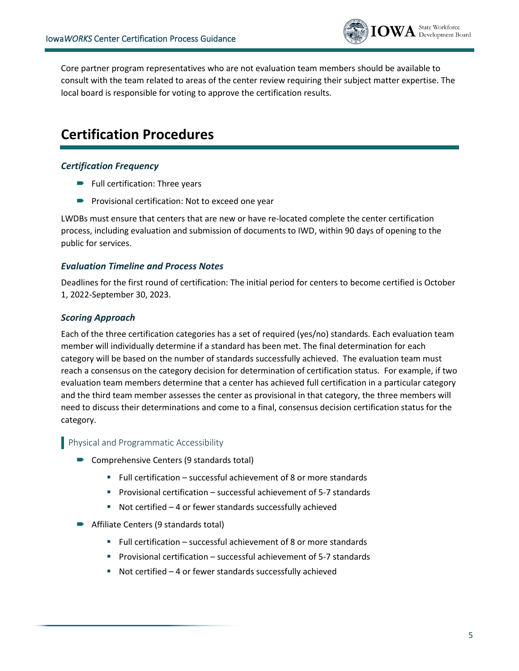

Core partner program representatives who are not evaluation team members should be available to consult with the team related to areas of the center review requiring their subject matter expertise. The local board is responsible for voting to approve the certification results.

## **Certification Procedures**

#### *Certification Frequency*

- **Full certification: Three years**
- **Provisional certification: Not to exceed one year**

LWDBs must ensure that centers that are new or have re-located complete the center certification process, including evaluation and submission of documents to IWD, within 90 days of opening to the public for services.

#### *Evaluation Timeline and Process Notes*

Deadlines for the first round of certification: The initial period for centers to become certified is October 1, 2022-September 30, 2023.

#### *Scoring Approach*

Each of the three certification categories has a set of required (yes/no) standards. Each evaluation team member will individually determine if a standard has been met. The final determination for each category will be based on the number of standards successfully achieved. The evaluation team must reach a consensus on the category decision for determination of certification status. For example, if two evaluation team members determine that a center has achieved full certification in a particular category and the third team member assesses the center as provisional in that category, the three members will need to discuss their determinations and come to a final, consensus decision certification status for the category.

#### **Physical and Programmatic Accessibility**

- Comprehensive Centers (9 standards total)
	- Full certification successful achievement of 8 or more standards
	- Provisional certification successful achievement of 5-7 standards
	- Not certified 4 or fewer standards successfully achieved
- Affiliate Centers (9 standards total)
	- Full certification successful achievement of 8 or more standards
	- Provisional certification successful achievement of 5-7 standards
	- Not certified 4 or fewer standards successfully achieved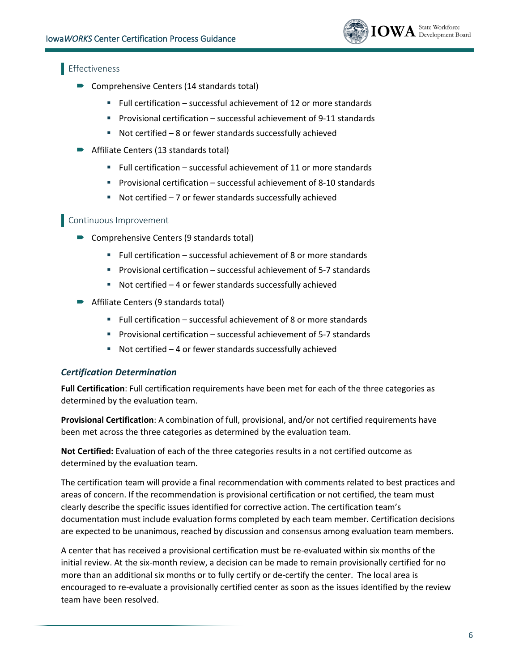

#### Effectiveness

- Comprehensive Centers (14 standards total)
	- Full certification successful achievement of 12 or more standards
	- Provisional certification successful achievement of 9-11 standards
	- Not certified 8 or fewer standards successfully achieved
- Affiliate Centers (13 standards total)
	- Full certification successful achievement of 11 or more standards
	- Provisional certification successful achievement of 8-10 standards
	- Not certified 7 or fewer standards successfully achieved

#### Continuous Improvement

- Comprehensive Centers (9 standards total)
	- $\blacksquare$  Full certification successful achievement of 8 or more standards
	- Provisional certification successful achievement of 5-7 standards
	- Not certified 4 or fewer standards successfully achieved
- **Affiliate Centers (9 standards total)** 
	- Full certification successful achievement of 8 or more standards
	- Provisional certification successful achievement of 5-7 standards
	- Not certified 4 or fewer standards successfully achieved

#### *Certification Determination*

**Full Certification**: Full certification requirements have been met for each of the three categories as determined by the evaluation team.

**Provisional Certification**: A combination of full, provisional, and/or not certified requirements have been met across the three categories as determined by the evaluation team.

**Not Certified:** Evaluation of each of the three categories results in a not certified outcome as determined by the evaluation team.

The certification team will provide a final recommendation with comments related to best practices and areas of concern. If the recommendation is provisional certification or not certified, the team must clearly describe the specific issues identified for corrective action. The certification team's documentation must include evaluation forms completed by each team member. Certification decisions are expected to be unanimous, reached by discussion and consensus among evaluation team members.

A center that has received a provisional certification must be re-evaluated within six months of the initial review. At the six-month review, a decision can be made to remain provisionally certified for no more than an additional six months or to fully certify or de-certify the center. The local area is encouraged to re-evaluate a provisionally certified center as soon as the issues identified by the review team have been resolved.